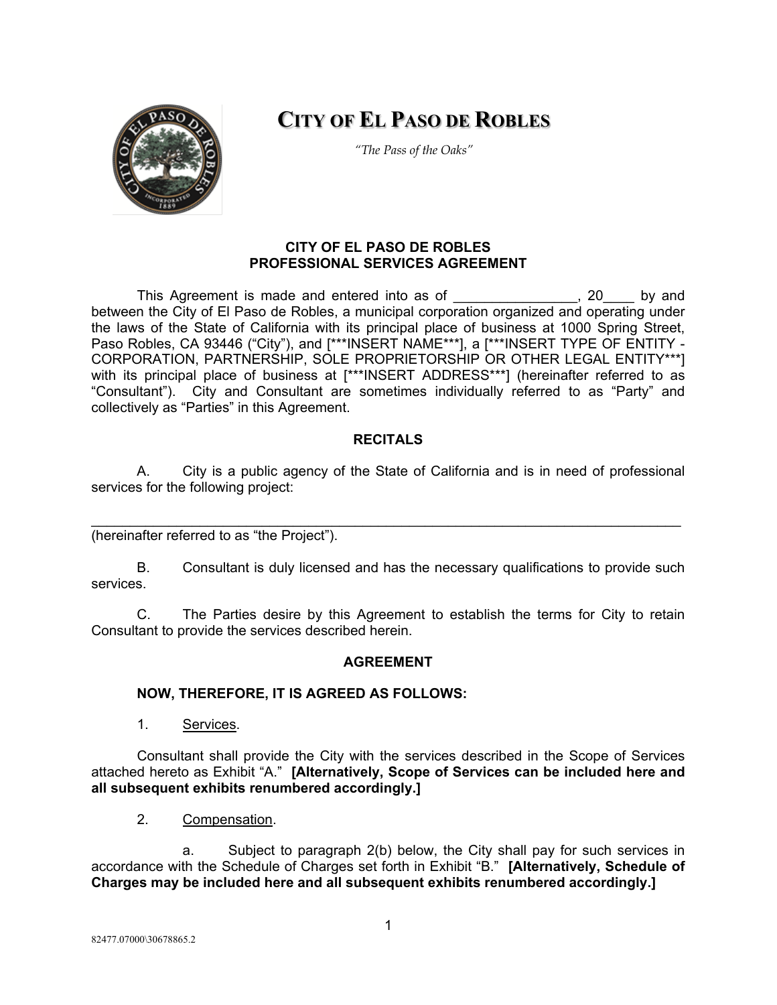

# **CITY OF EL PASO DE ROBLES**

*"The Pass of the Oaks"*

# **CITY OF EL PASO DE ROBLES PROFESSIONAL SERVICES AGREEMENT**

This Agreement is made and entered into as of This Agreement is made and entered into as of between the City of El Paso de Robles, a municipal corporation organized and operating under the laws of the State of California with its principal place of business at 1000 Spring Street, Paso Robles, CA 93446 ("City"), and [\*\*\*INSERT NAME\*\*\*], a [\*\*\*INSERT TYPE OF ENTITY -CORPORATION, PARTNERSHIP, SOLE PROPRIETORSHIP OR OTHER LEGAL ENTITY\*\*\*] with its principal place of business at [\*\*\*INSERT ADDRESS\*\*\*] (hereinafter referred to as "Consultant"). City and Consultant are sometimes individually referred to as "Party" and collectively as "Parties" in this Agreement.

# **RECITALS**

A. City is a public agency of the State of California and is in need of professional services for the following project:

\_\_\_\_\_\_\_\_\_\_\_\_\_\_\_\_\_\_\_\_\_\_\_\_\_\_\_\_\_\_\_\_\_\_\_\_\_\_\_\_\_\_\_\_\_\_\_\_\_\_\_\_\_\_\_\_\_\_\_\_\_\_\_\_\_\_\_\_\_\_\_\_\_\_\_\_ (hereinafter referred to as "the Project").

B. Consultant is duly licensed and has the necessary qualifications to provide such services.

C. The Parties desire by this Agreement to establish the terms for City to retain Consultant to provide the services described herein.

#### **AGREEMENT**

# **NOW, THEREFORE, IT IS AGREED AS FOLLOWS:**

1. Services.

Consultant shall provide the City with the services described in the Scope of Services attached hereto as Exhibit "A." **[Alternatively, Scope of Services can be included here and all subsequent exhibits renumbered accordingly.]**

2. Compensation.

a. Subject to paragraph 2(b) below, the City shall pay for such services in accordance with the Schedule of Charges set forth in Exhibit "B." **[Alternatively, Schedule of Charges may be included here and all subsequent exhibits renumbered accordingly.]**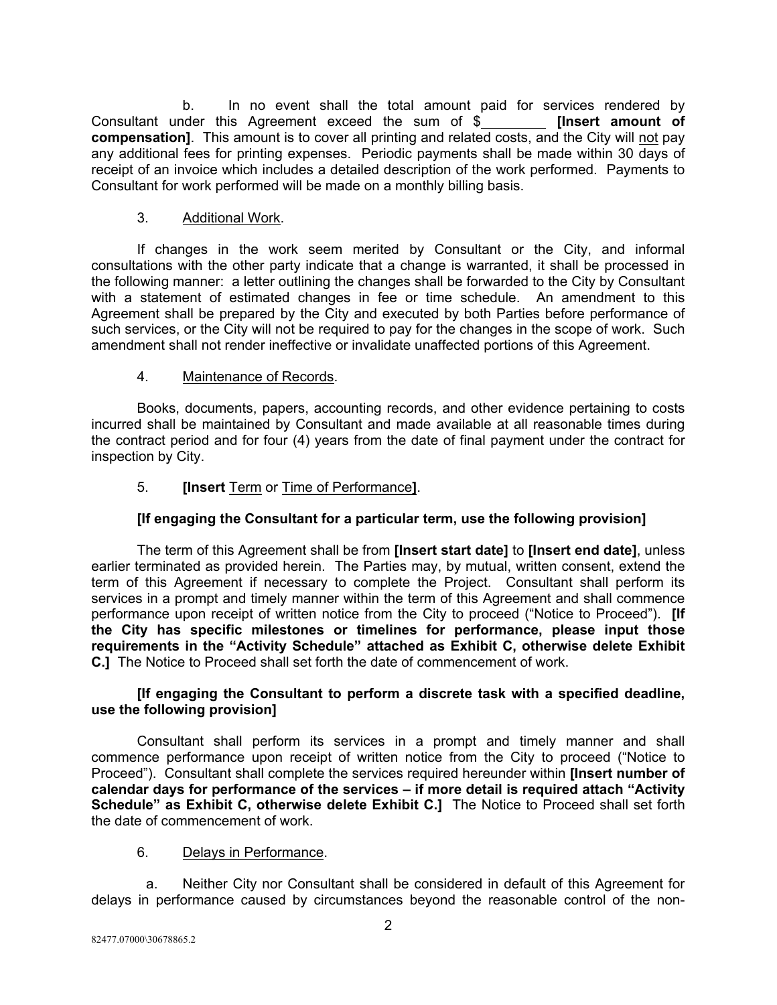b. In no event shall the total amount paid for services rendered by hoter this Agreement exceed the sum of \$ Consultant under this Agreement exceed the sum of \$ **compensation]**. This amount is to cover all printing and related costs, and the City will not pay any additional fees for printing expenses. Periodic payments shall be made within 30 days of receipt of an invoice which includes a detailed description of the work performed. Payments to Consultant for work performed will be made on a monthly billing basis.

# 3. Additional Work.

If changes in the work seem merited by Consultant or the City, and informal consultations with the other party indicate that a change is warranted, it shall be processed in the following manner: a letter outlining the changes shall be forwarded to the City by Consultant with a statement of estimated changes in fee or time schedule. An amendment to this Agreement shall be prepared by the City and executed by both Parties before performance of such services, or the City will not be required to pay for the changes in the scope of work. Such amendment shall not render ineffective or invalidate unaffected portions of this Agreement.

# 4. Maintenance of Records.

Books, documents, papers, accounting records, and other evidence pertaining to costs incurred shall be maintained by Consultant and made available at all reasonable times during the contract period and for four (4) years from the date of final payment under the contract for inspection by City.

# 5. **[Insert** Term or Time of Performance**]**.

# **[If engaging the Consultant for a particular term, use the following provision]**

The term of this Agreement shall be from **[Insert start date]** to **[Insert end date]**, unless earlier terminated as provided herein. The Parties may, by mutual, written consent, extend the term of this Agreement if necessary to complete the Project. Consultant shall perform its services in a prompt and timely manner within the term of this Agreement and shall commence performance upon receipt of written notice from the City to proceed ("Notice to Proceed"). **[If the City has specific milestones or timelines for performance, please input those requirements in the "Activity Schedule" attached as Exhibit C, otherwise delete Exhibit C.]** The Notice to Proceed shall set forth the date of commencement of work.

# **[If engaging the Consultant to perform a discrete task with a specified deadline, use the following provision]**

Consultant shall perform its services in a prompt and timely manner and shall commence performance upon receipt of written notice from the City to proceed ("Notice to Proceed"). Consultant shall complete the services required hereunder within **[Insert number of calendar days for performance of the services – if more detail is required attach "Activity Schedule" as Exhibit C, otherwise delete Exhibit C.]** The Notice to Proceed shall set forth the date of commencement of work.

# 6. Delays in Performance.

a. Neither City nor Consultant shall be considered in default of this Agreement for delays in performance caused by circumstances beyond the reasonable control of the non-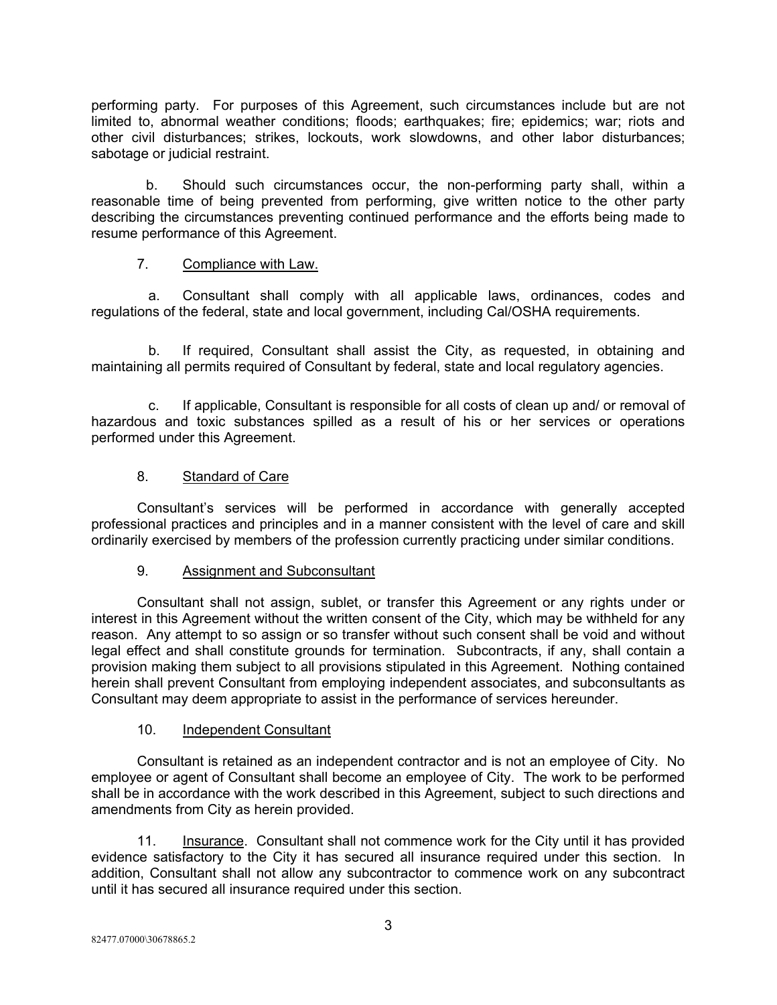performing party. For purposes of this Agreement, such circumstances include but are not limited to, abnormal weather conditions; floods; earthquakes; fire; epidemics; war; riots and other civil disturbances; strikes, lockouts, work slowdowns, and other labor disturbances; sabotage or judicial restraint.

b. Should such circumstances occur, the non-performing party shall, within a reasonable time of being prevented from performing, give written notice to the other party describing the circumstances preventing continued performance and the efforts being made to resume performance of this Agreement.

# 7. Compliance with Law.

a. Consultant shall comply with all applicable laws, ordinances, codes and regulations of the federal, state and local government, including Cal/OSHA requirements.

b. If required, Consultant shall assist the City, as requested, in obtaining and maintaining all permits required of Consultant by federal, state and local regulatory agencies.

c. If applicable, Consultant is responsible for all costs of clean up and/ or removal of hazardous and toxic substances spilled as a result of his or her services or operations performed under this Agreement.

# 8. Standard of Care

Consultant's services will be performed in accordance with generally accepted professional practices and principles and in a manner consistent with the level of care and skill ordinarily exercised by members of the profession currently practicing under similar conditions.

#### 9. Assignment and Subconsultant

Consultant shall not assign, sublet, or transfer this Agreement or any rights under or interest in this Agreement without the written consent of the City, which may be withheld for any reason. Any attempt to so assign or so transfer without such consent shall be void and without legal effect and shall constitute grounds for termination. Subcontracts, if any, shall contain a provision making them subject to all provisions stipulated in this Agreement. Nothing contained herein shall prevent Consultant from employing independent associates, and subconsultants as Consultant may deem appropriate to assist in the performance of services hereunder.

# 10. Independent Consultant

Consultant is retained as an independent contractor and is not an employee of City. No employee or agent of Consultant shall become an employee of City. The work to be performed shall be in accordance with the work described in this Agreement, subject to such directions and amendments from City as herein provided.

11. Insurance. Consultant shall not commence work for the City until it has provided evidence satisfactory to the City it has secured all insurance required under this section. In addition, Consultant shall not allow any subcontractor to commence work on any subcontract until it has secured all insurance required under this section.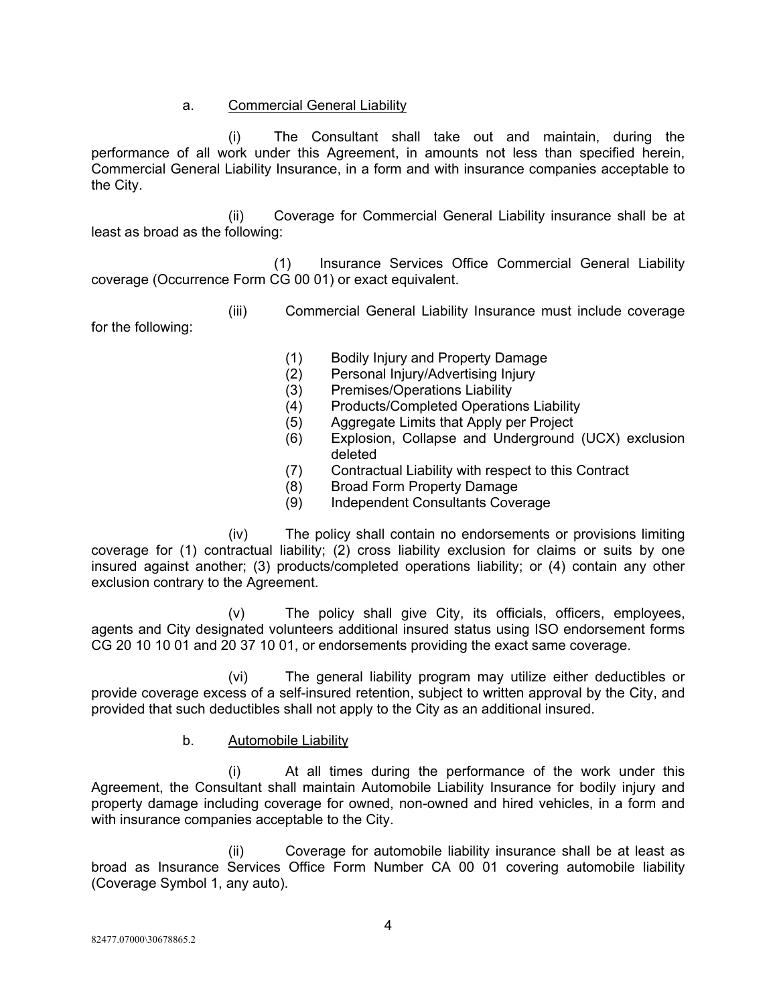### a. Commercial General Liability

(i) The Consultant shall take out and maintain, during the performance of all work under this Agreement, in amounts not less than specified herein, Commercial General Liability Insurance, in a form and with insurance companies acceptable to the City.

(ii) Coverage for Commercial General Liability insurance shall be at least as broad as the following:

(1) Insurance Services Office Commercial General Liability coverage (Occurrence Form CG 00 01) or exact equivalent.

(iii) Commercial General Liability Insurance must include coverage

for the following:

- (1) Bodily Injury and Property Damage
- (2) Personal Injury/Advertising Injury
- (3) Premises/Operations Liability
- (4) Products/Completed Operations Liability
- (5) Aggregate Limits that Apply per Project
- (6) Explosion, Collapse and Underground (UCX) exclusion deleted
- (7) Contractual Liability with respect to this Contract
- (8) Broad Form Property Damage
- (9) Independent Consultants Coverage

(iv) The policy shall contain no endorsements or provisions limiting coverage for (1) contractual liability; (2) cross liability exclusion for claims or suits by one insured against another; (3) products/completed operations liability; or (4) contain any other exclusion contrary to the Agreement.

(v) The policy shall give City, its officials, officers, employees, agents and City designated volunteers additional insured status using ISO endorsement forms CG 20 10 10 01 and 20 37 10 01, or endorsements providing the exact same coverage.

(vi) The general liability program may utilize either deductibles or provide coverage excess of a self-insured retention, subject to written approval by the City, and provided that such deductibles shall not apply to the City as an additional insured.

b. Automobile Liability

(i) At all times during the performance of the work under this Agreement, the Consultant shall maintain Automobile Liability Insurance for bodily injury and property damage including coverage for owned, non-owned and hired vehicles, in a form and with insurance companies acceptable to the City.

(ii) Coverage for automobile liability insurance shall be at least as broad as Insurance Services Office Form Number CA 00 01 covering automobile liability (Coverage Symbol 1, any auto).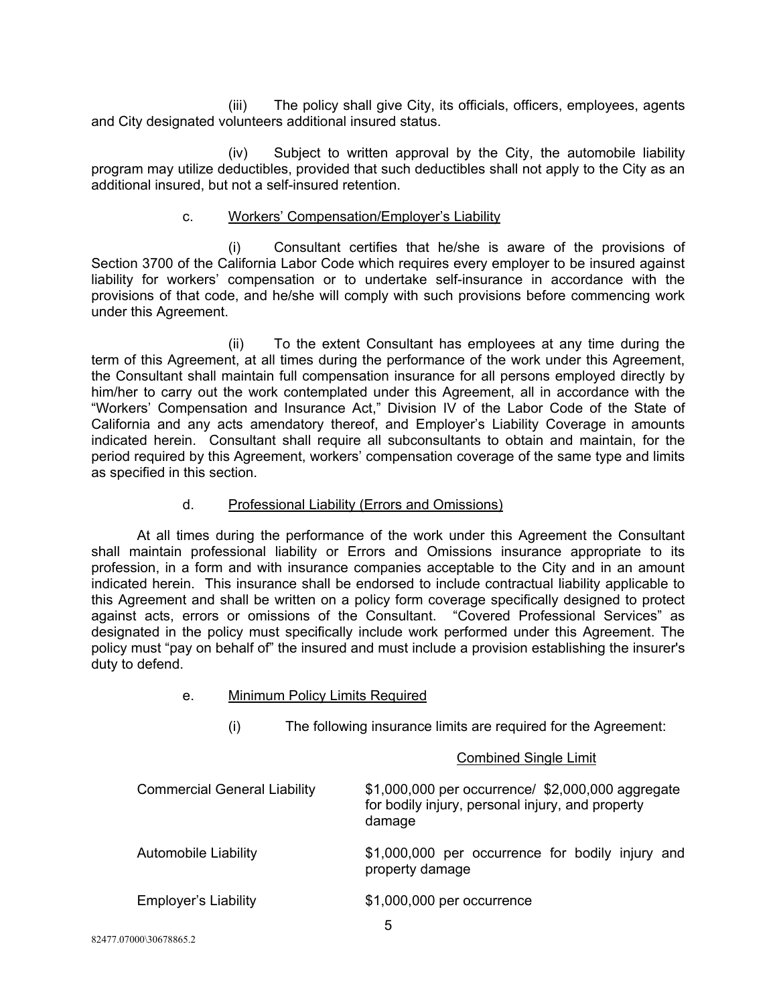(iii) The policy shall give City, its officials, officers, employees, agents and City designated volunteers additional insured status.

(iv) Subject to written approval by the City, the automobile liability program may utilize deductibles, provided that such deductibles shall not apply to the City as an additional insured, but not a self-insured retention.

#### c. Workers' Compensation/Employer's Liability

(i) Consultant certifies that he/she is aware of the provisions of Section 3700 of the California Labor Code which requires every employer to be insured against liability for workers' compensation or to undertake self-insurance in accordance with the provisions of that code, and he/she will comply with such provisions before commencing work under this Agreement.

(ii) To the extent Consultant has employees at any time during the term of this Agreement, at all times during the performance of the work under this Agreement, the Consultant shall maintain full compensation insurance for all persons employed directly by him/her to carry out the work contemplated under this Agreement, all in accordance with the "Workers' Compensation and Insurance Act," Division IV of the Labor Code of the State of California and any acts amendatory thereof, and Employer's Liability Coverage in amounts indicated herein. Consultant shall require all subconsultants to obtain and maintain, for the period required by this Agreement, workers' compensation coverage of the same type and limits as specified in this section.

### d. Professional Liability (Errors and Omissions)

At all times during the performance of the work under this Agreement the Consultant shall maintain professional liability or Errors and Omissions insurance appropriate to its profession, in a form and with insurance companies acceptable to the City and in an amount indicated herein. This insurance shall be endorsed to include contractual liability applicable to this Agreement and shall be written on a policy form coverage specifically designed to protect against acts, errors or omissions of the Consultant. "Covered Professional Services" as designated in the policy must specifically include work performed under this Agreement. The policy must "pay on behalf of" the insured and must include a provision establishing the insurer's duty to defend.

#### e. Minimum Policy Limits Required

(i) The following insurance limits are required for the Agreement:

#### Combined Single Limit

| <b>Commercial General Liability</b> | \$1,000,000 per occurrence/ \$2,000,000 aggregate<br>for bodily injury, personal injury, and property<br>damage |  |  |  |  |  |
|-------------------------------------|-----------------------------------------------------------------------------------------------------------------|--|--|--|--|--|
| <b>Automobile Liability</b>         | \$1,000,000 per occurrence for bodily injury and<br>property damage                                             |  |  |  |  |  |
| <b>Employer's Liability</b>         | \$1,000,000 per occurrence<br>h                                                                                 |  |  |  |  |  |

82477.07000\30678865.2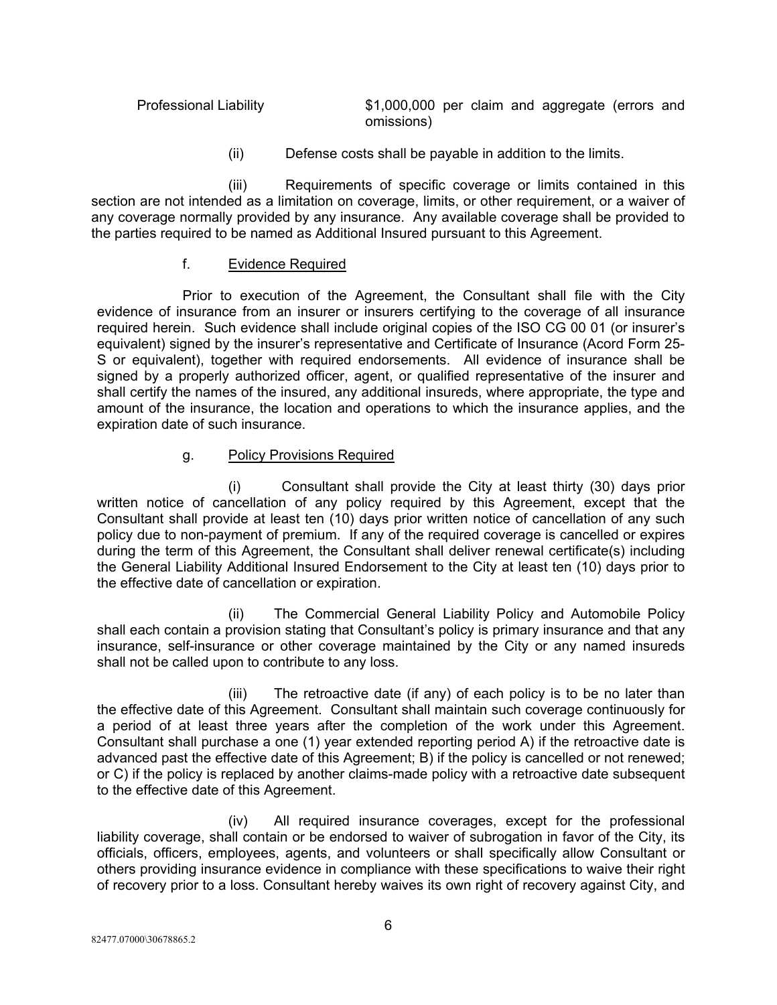| <b>Professional Liability</b> | \$1,000,000 per claim and aggregate (errors and |  |  |  |
|-------------------------------|-------------------------------------------------|--|--|--|
|                               | omissions)                                      |  |  |  |

(ii) Defense costs shall be payable in addition to the limits.

(iii) Requirements of specific coverage or limits contained in this section are not intended as a limitation on coverage, limits, or other requirement, or a waiver of any coverage normally provided by any insurance. Any available coverage shall be provided to the parties required to be named as Additional Insured pursuant to this Agreement.

# f. Evidence Required

Prior to execution of the Agreement, the Consultant shall file with the City evidence of insurance from an insurer or insurers certifying to the coverage of all insurance required herein. Such evidence shall include original copies of the ISO CG 00 01 (or insurer's equivalent) signed by the insurer's representative and Certificate of Insurance (Acord Form 25- S or equivalent), together with required endorsements. All evidence of insurance shall be signed by a properly authorized officer, agent, or qualified representative of the insurer and shall certify the names of the insured, any additional insureds, where appropriate, the type and amount of the insurance, the location and operations to which the insurance applies, and the expiration date of such insurance.

# g. Policy Provisions Required

(i) Consultant shall provide the City at least thirty (30) days prior written notice of cancellation of any policy required by this Agreement, except that the Consultant shall provide at least ten (10) days prior written notice of cancellation of any such policy due to non-payment of premium. If any of the required coverage is cancelled or expires during the term of this Agreement, the Consultant shall deliver renewal certificate(s) including the General Liability Additional Insured Endorsement to the City at least ten (10) days prior to the effective date of cancellation or expiration.

(ii) The Commercial General Liability Policy and Automobile Policy shall each contain a provision stating that Consultant's policy is primary insurance and that any insurance, self-insurance or other coverage maintained by the City or any named insureds shall not be called upon to contribute to any loss.

(iii) The retroactive date (if any) of each policy is to be no later than the effective date of this Agreement. Consultant shall maintain such coverage continuously for a period of at least three years after the completion of the work under this Agreement. Consultant shall purchase a one (1) year extended reporting period A) if the retroactive date is advanced past the effective date of this Agreement; B) if the policy is cancelled or not renewed; or C) if the policy is replaced by another claims-made policy with a retroactive date subsequent to the effective date of this Agreement.

(iv) All required insurance coverages, except for the professional liability coverage, shall contain or be endorsed to waiver of subrogation in favor of the City, its officials, officers, employees, agents, and volunteers or shall specifically allow Consultant or others providing insurance evidence in compliance with these specifications to waive their right of recovery prior to a loss. Consultant hereby waives its own right of recovery against City, and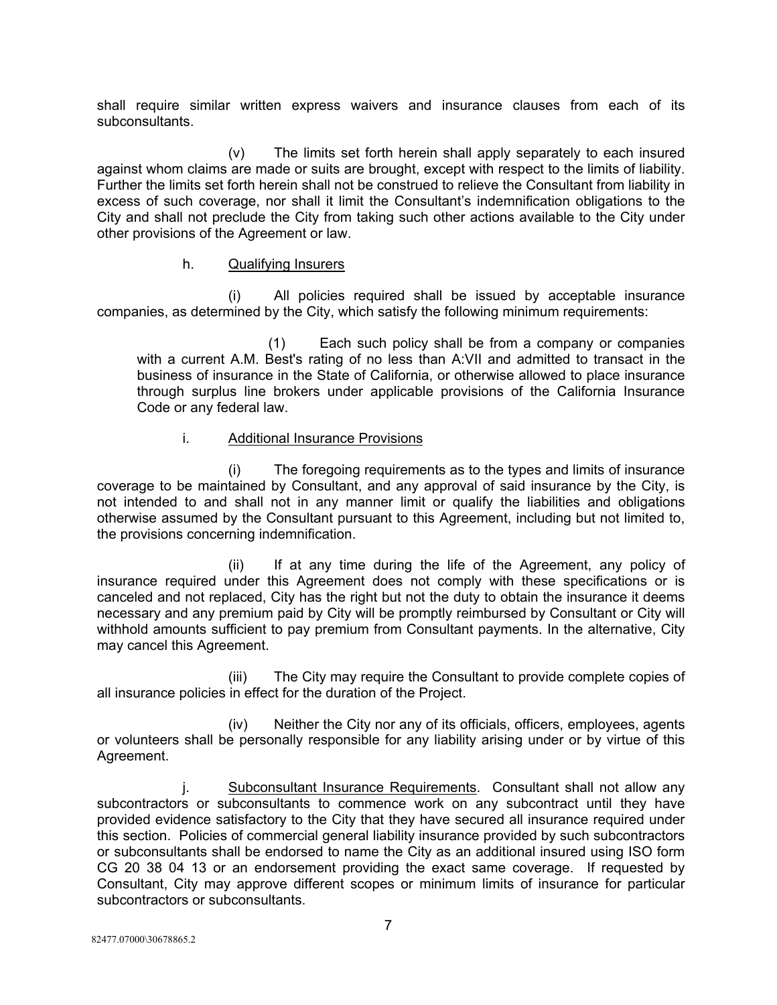shall require similar written express waivers and insurance clauses from each of its subconsultants.

(v) The limits set forth herein shall apply separately to each insured against whom claims are made or suits are brought, except with respect to the limits of liability. Further the limits set forth herein shall not be construed to relieve the Consultant from liability in excess of such coverage, nor shall it limit the Consultant's indemnification obligations to the City and shall not preclude the City from taking such other actions available to the City under other provisions of the Agreement or law.

#### h. Qualifying Insurers

(i) All policies required shall be issued by acceptable insurance companies, as determined by the City, which satisfy the following minimum requirements:

(1) Each such policy shall be from a company or companies with a current A.M. Best's rating of no less than A:VII and admitted to transact in the business of insurance in the State of California, or otherwise allowed to place insurance through surplus line brokers under applicable provisions of the California Insurance Code or any federal law.

# i. Additional Insurance Provisions

(i) The foregoing requirements as to the types and limits of insurance coverage to be maintained by Consultant, and any approval of said insurance by the City, is not intended to and shall not in any manner limit or qualify the liabilities and obligations otherwise assumed by the Consultant pursuant to this Agreement, including but not limited to, the provisions concerning indemnification.

(ii) If at any time during the life of the Agreement, any policy of insurance required under this Agreement does not comply with these specifications or is canceled and not replaced, City has the right but not the duty to obtain the insurance it deems necessary and any premium paid by City will be promptly reimbursed by Consultant or City will withhold amounts sufficient to pay premium from Consultant payments. In the alternative, City may cancel this Agreement.

(iii) The City may require the Consultant to provide complete copies of all insurance policies in effect for the duration of the Project.

(iv) Neither the City nor any of its officials, officers, employees, agents or volunteers shall be personally responsible for any liability arising under or by virtue of this Agreement.

j. Subconsultant Insurance Requirements. Consultant shall not allow any subcontractors or subconsultants to commence work on any subcontract until they have provided evidence satisfactory to the City that they have secured all insurance required under this section. Policies of commercial general liability insurance provided by such subcontractors or subconsultants shall be endorsed to name the City as an additional insured using ISO form CG 20 38 04 13 or an endorsement providing the exact same coverage. If requested by Consultant, City may approve different scopes or minimum limits of insurance for particular subcontractors or subconsultants.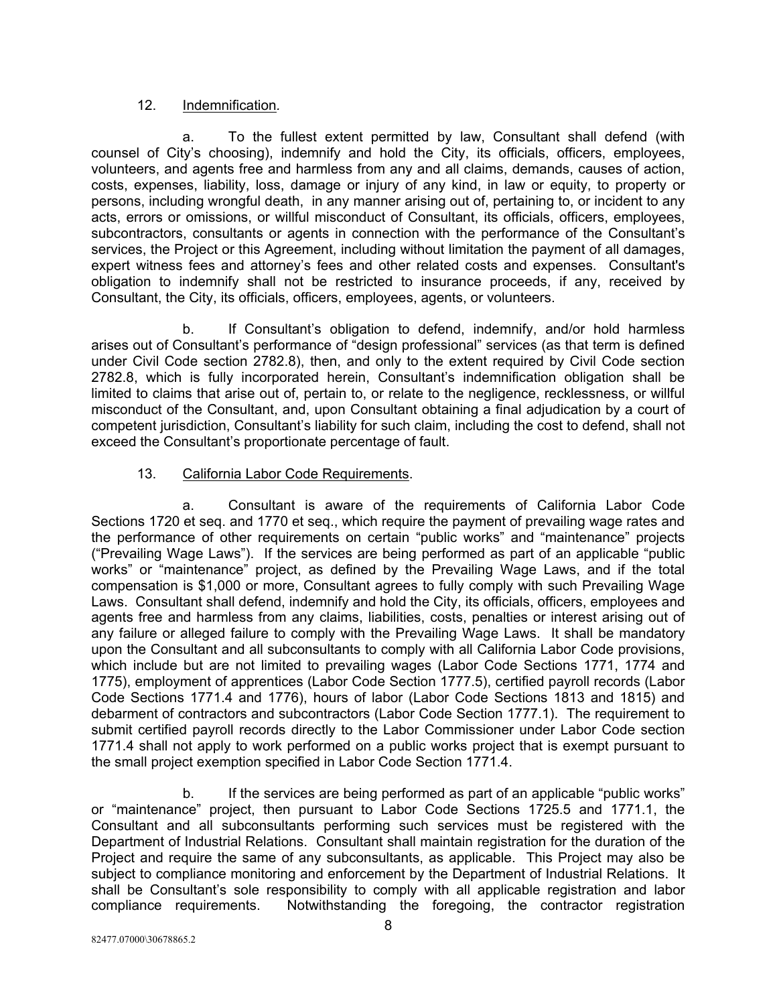### 12. Indemnification*.*

a. To the fullest extent permitted by law, Consultant shall defend (with counsel of City's choosing), indemnify and hold the City, its officials, officers, employees, volunteers, and agents free and harmless from any and all claims, demands, causes of action, costs, expenses, liability, loss, damage or injury of any kind, in law or equity, to property or persons, including wrongful death, in any manner arising out of, pertaining to, or incident to any acts, errors or omissions, or willful misconduct of Consultant, its officials, officers, employees, subcontractors, consultants or agents in connection with the performance of the Consultant's services, the Project or this Agreement, including without limitation the payment of all damages, expert witness fees and attorney's fees and other related costs and expenses. Consultant's obligation to indemnify shall not be restricted to insurance proceeds, if any, received by Consultant, the City, its officials, officers, employees, agents, or volunteers.

b. If Consultant's obligation to defend, indemnify, and/or hold harmless arises out of Consultant's performance of "design professional" services (as that term is defined under Civil Code section 2782.8), then, and only to the extent required by Civil Code section 2782.8, which is fully incorporated herein, Consultant's indemnification obligation shall be limited to claims that arise out of, pertain to, or relate to the negligence, recklessness, or willful misconduct of the Consultant, and, upon Consultant obtaining a final adjudication by a court of competent jurisdiction, Consultant's liability for such claim, including the cost to defend, shall not exceed the Consultant's proportionate percentage of fault.

# 13. California Labor Code Requirements.

a. Consultant is aware of the requirements of California Labor Code Sections 1720 et seq. and 1770 et seq., which require the payment of prevailing wage rates and the performance of other requirements on certain "public works" and "maintenance" projects ("Prevailing Wage Laws"). If the services are being performed as part of an applicable "public works" or "maintenance" project, as defined by the Prevailing Wage Laws, and if the total compensation is \$1,000 or more, Consultant agrees to fully comply with such Prevailing Wage Laws. Consultant shall defend, indemnify and hold the City, its officials, officers, employees and agents free and harmless from any claims, liabilities, costs, penalties or interest arising out of any failure or alleged failure to comply with the Prevailing Wage Laws. It shall be mandatory upon the Consultant and all subconsultants to comply with all California Labor Code provisions, which include but are not limited to prevailing wages (Labor Code Sections 1771, 1774 and 1775), employment of apprentices (Labor Code Section 1777.5), certified payroll records (Labor Code Sections 1771.4 and 1776), hours of labor (Labor Code Sections 1813 and 1815) and debarment of contractors and subcontractors (Labor Code Section 1777.1). The requirement to submit certified payroll records directly to the Labor Commissioner under Labor Code section 1771.4 shall not apply to work performed on a public works project that is exempt pursuant to the small project exemption specified in Labor Code Section 1771.4.

b. If the services are being performed as part of an applicable "public works" or "maintenance" project, then pursuant to Labor Code Sections 1725.5 and 1771.1, the Consultant and all subconsultants performing such services must be registered with the Department of Industrial Relations. Consultant shall maintain registration for the duration of the Project and require the same of any subconsultants, as applicable. This Project may also be subject to compliance monitoring and enforcement by the Department of Industrial Relations. It shall be Consultant's sole responsibility to comply with all applicable registration and labor compliance requirements. Notwithstanding the foregoing, the contractor registration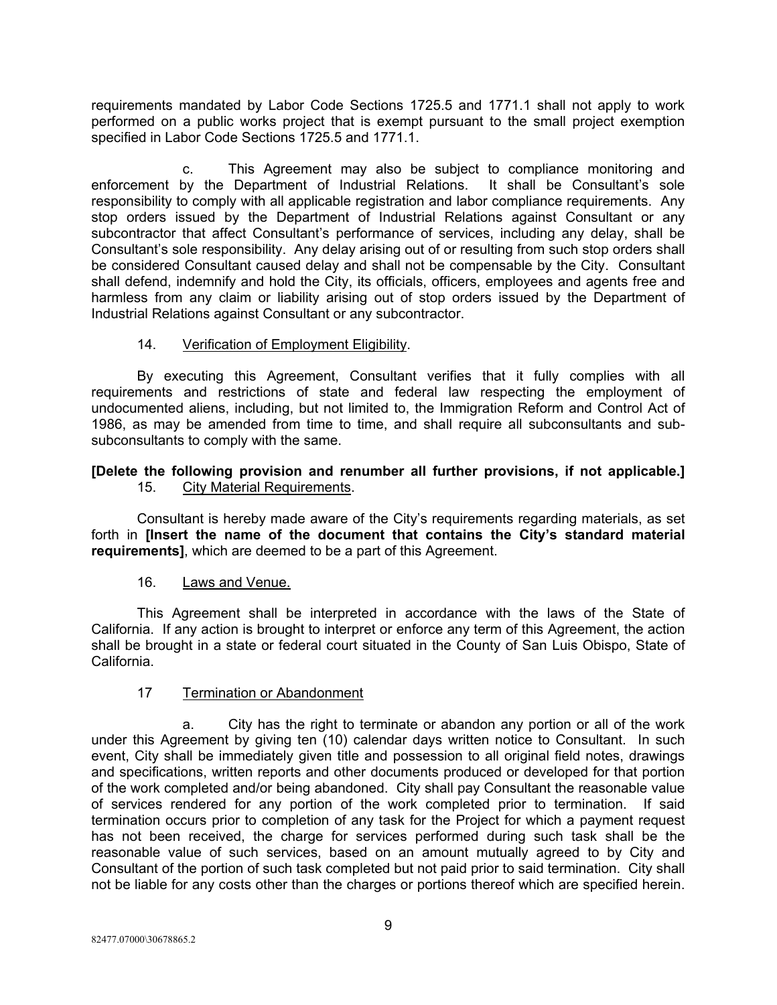requirements mandated by Labor Code Sections 1725.5 and 1771.1 shall not apply to work performed on a public works project that is exempt pursuant to the small project exemption specified in Labor Code Sections 1725.5 and 1771.1.

c. This Agreement may also be subject to compliance monitoring and enforcement by the Department of Industrial Relations. It shall be Consultant's sole responsibility to comply with all applicable registration and labor compliance requirements. Any stop orders issued by the Department of Industrial Relations against Consultant or any subcontractor that affect Consultant's performance of services, including any delay, shall be Consultant's sole responsibility. Any delay arising out of or resulting from such stop orders shall be considered Consultant caused delay and shall not be compensable by the City. Consultant shall defend, indemnify and hold the City, its officials, officers, employees and agents free and harmless from any claim or liability arising out of stop orders issued by the Department of Industrial Relations against Consultant or any subcontractor.

# 14. Verification of Employment Eligibility.

By executing this Agreement, Consultant verifies that it fully complies with all requirements and restrictions of state and federal law respecting the employment of undocumented aliens, including, but not limited to, the Immigration Reform and Control Act of 1986, as may be amended from time to time, and shall require all subconsultants and subsubconsultants to comply with the same.

# **[Delete the following provision and renumber all further provisions, if not applicable.]** 15. City Material Requirements.

Consultant is hereby made aware of the City's requirements regarding materials, as set forth in **[Insert the name of the document that contains the City's standard material requirements]**, which are deemed to be a part of this Agreement.

#### 16. Laws and Venue.

This Agreement shall be interpreted in accordance with the laws of the State of California. If any action is brought to interpret or enforce any term of this Agreement, the action shall be brought in a state or federal court situated in the County of San Luis Obispo, State of California.

#### 17 Termination or Abandonment

a. City has the right to terminate or abandon any portion or all of the work under this Agreement by giving ten (10) calendar days written notice to Consultant. In such event, City shall be immediately given title and possession to all original field notes, drawings and specifications, written reports and other documents produced or developed for that portion of the work completed and/or being abandoned. City shall pay Consultant the reasonable value of services rendered for any portion of the work completed prior to termination. If said termination occurs prior to completion of any task for the Project for which a payment request has not been received, the charge for services performed during such task shall be the reasonable value of such services, based on an amount mutually agreed to by City and Consultant of the portion of such task completed but not paid prior to said termination. City shall not be liable for any costs other than the charges or portions thereof which are specified herein.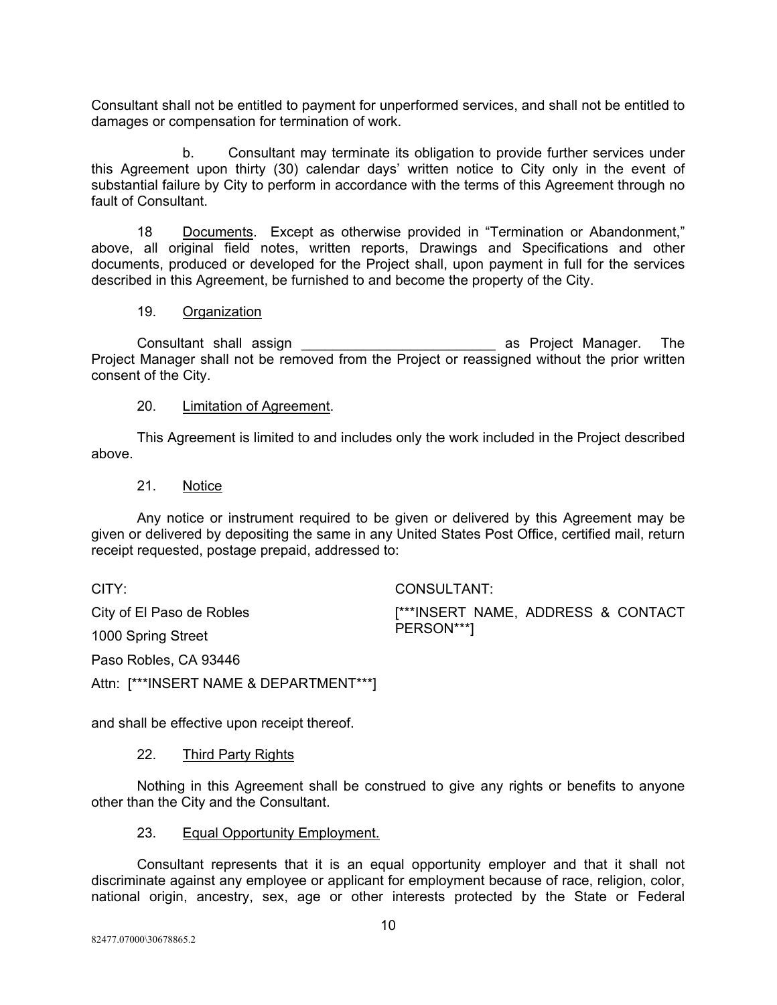Consultant shall not be entitled to payment for unperformed services, and shall not be entitled to damages or compensation for termination of work.

b. Consultant may terminate its obligation to provide further services under this Agreement upon thirty (30) calendar days' written notice to City only in the event of substantial failure by City to perform in accordance with the terms of this Agreement through no fault of Consultant.

18 Documents. Except as otherwise provided in "Termination or Abandonment," above, all original field notes, written reports, Drawings and Specifications and other documents, produced or developed for the Project shall, upon payment in full for the services described in this Agreement, be furnished to and become the property of the City.

#### 19. Organization

Consultant shall assign \_\_\_\_\_\_\_\_\_\_\_\_\_\_\_\_\_\_\_\_\_\_\_\_\_ as Project Manager. The Project Manager shall not be removed from the Project or reassigned without the prior written consent of the City.

#### 20. Limitation of Agreement.

This Agreement is limited to and includes only the work included in the Project described above.

#### 21. Notice

Any notice or instrument required to be given or delivered by this Agreement may be given or delivered by depositing the same in any United States Post Office, certified mail, return receipt requested, postage prepaid, addressed to:

CITY:

City of El Paso de Robles

1000 Spring Street

Paso Robles, CA 93446

Attn: [\*\*\*INSERT NAME & DEPARTMENT\*\*\*]

and shall be effective upon receipt thereof.

#### 22. Third Party Rights

Nothing in this Agreement shall be construed to give any rights or benefits to anyone other than the City and the Consultant.

#### 23. Equal Opportunity Employment.

Consultant represents that it is an equal opportunity employer and that it shall not discriminate against any employee or applicant for employment because of race, religion, color, national origin, ancestry, sex, age or other interests protected by the State or Federal

CONSULTANT:

[\*\*\*INSERT NAME, ADDRESS & CONTACT PERSON\*\*\*]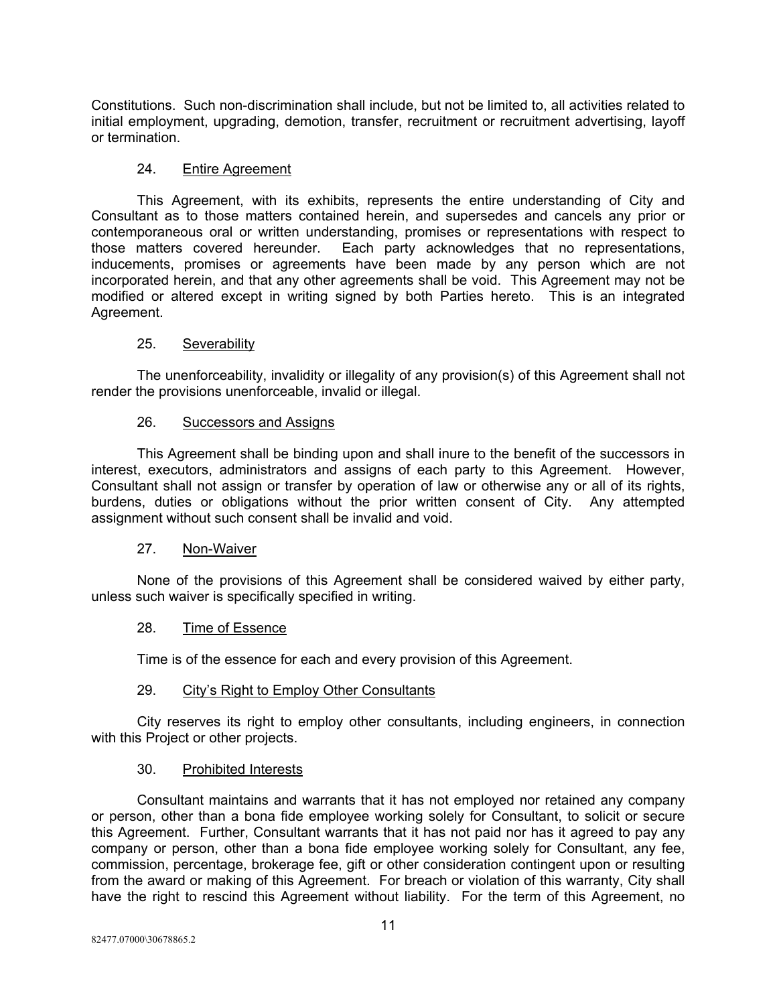Constitutions. Such non-discrimination shall include, but not be limited to, all activities related to initial employment, upgrading, demotion, transfer, recruitment or recruitment advertising, layoff or termination.

#### 24. Entire Agreement

This Agreement, with its exhibits, represents the entire understanding of City and Consultant as to those matters contained herein, and supersedes and cancels any prior or contemporaneous oral or written understanding, promises or representations with respect to those matters covered hereunder. Each party acknowledges that no representations, inducements, promises or agreements have been made by any person which are not incorporated herein, and that any other agreements shall be void. This Agreement may not be modified or altered except in writing signed by both Parties hereto. This is an integrated Agreement.

#### 25. Severability

The unenforceability, invalidity or illegality of any provision(s) of this Agreement shall not render the provisions unenforceable, invalid or illegal.

#### 26. Successors and Assigns

This Agreement shall be binding upon and shall inure to the benefit of the successors in interest, executors, administrators and assigns of each party to this Agreement. However, Consultant shall not assign or transfer by operation of law or otherwise any or all of its rights, burdens, duties or obligations without the prior written consent of City. Any attempted assignment without such consent shall be invalid and void.

### 27. Non-Waiver

None of the provisions of this Agreement shall be considered waived by either party, unless such waiver is specifically specified in writing.

### 28. Time of Essence

Time is of the essence for each and every provision of this Agreement.

#### 29. City's Right to Employ Other Consultants

City reserves its right to employ other consultants, including engineers, in connection with this Project or other projects.

#### 30. Prohibited Interests

Consultant maintains and warrants that it has not employed nor retained any company or person, other than a bona fide employee working solely for Consultant, to solicit or secure this Agreement. Further, Consultant warrants that it has not paid nor has it agreed to pay any company or person, other than a bona fide employee working solely for Consultant, any fee, commission, percentage, brokerage fee, gift or other consideration contingent upon or resulting from the award or making of this Agreement. For breach or violation of this warranty, City shall have the right to rescind this Agreement without liability. For the term of this Agreement, no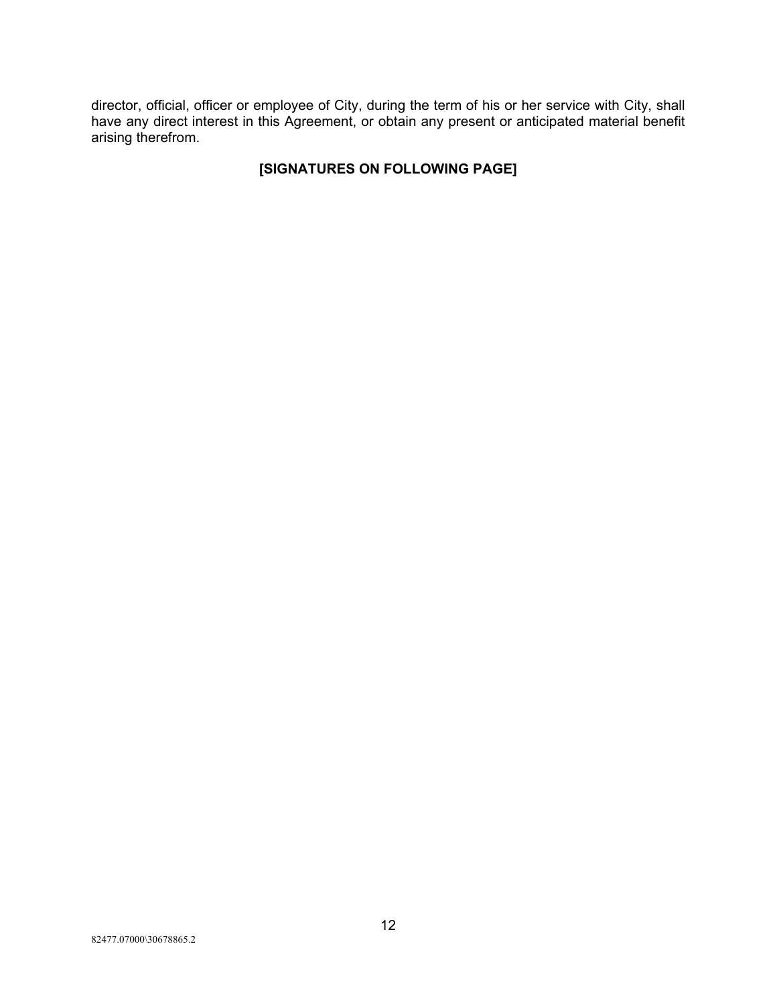director, official, officer or employee of City, during the term of his or her service with City, shall have any direct interest in this Agreement, or obtain any present or anticipated material benefit arising therefrom.

# **[SIGNATURES ON FOLLOWING PAGE]**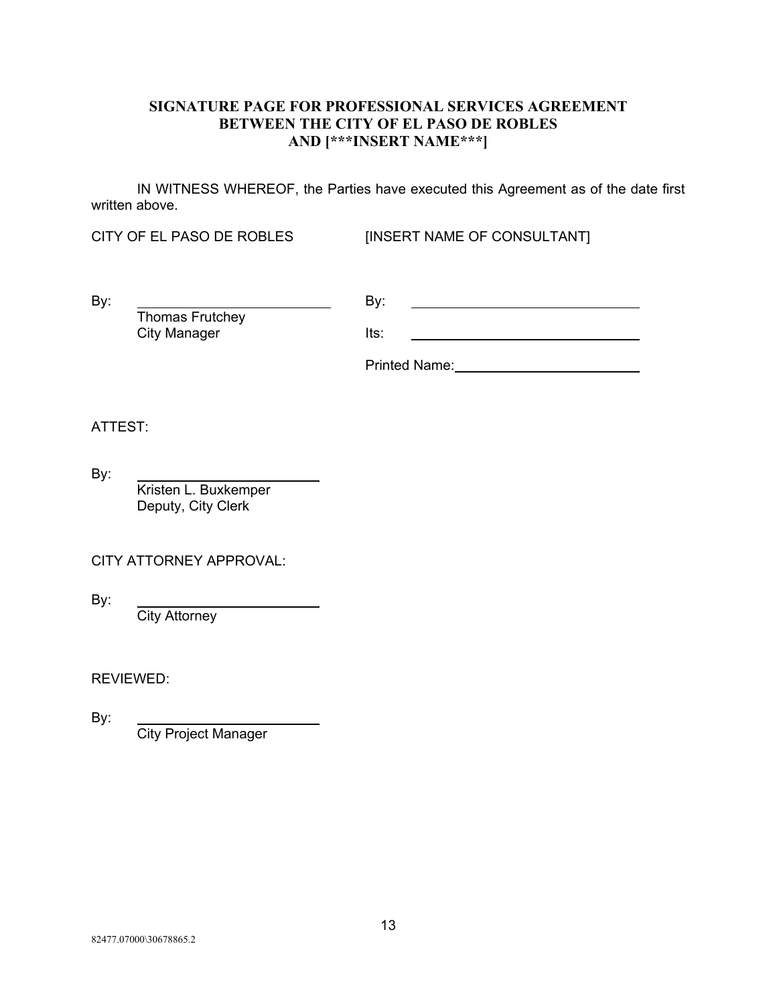# **SIGNATURE PAGE FOR PROFESSIONAL SERVICES AGREEMENT BETWEEN THE CITY OF EL PASO DE ROBLES AND [\*\*\*INSERT NAME\*\*\*]**

IN WITNESS WHEREOF, the Parties have executed this Agreement as of the date first written above.

Thomas Frutchey

CITY OF EL PASO DE ROBLES [INSERT NAME OF CONSULTANT]

By: By:

City Manager **Its:** 

Printed Name:

ATTEST:

By:

Kristen L. Buxkemper Deputy, City Clerk

CITY ATTORNEY APPROVAL:

By:

**City Attorney** 

REVIEWED:

By:

City Project Manager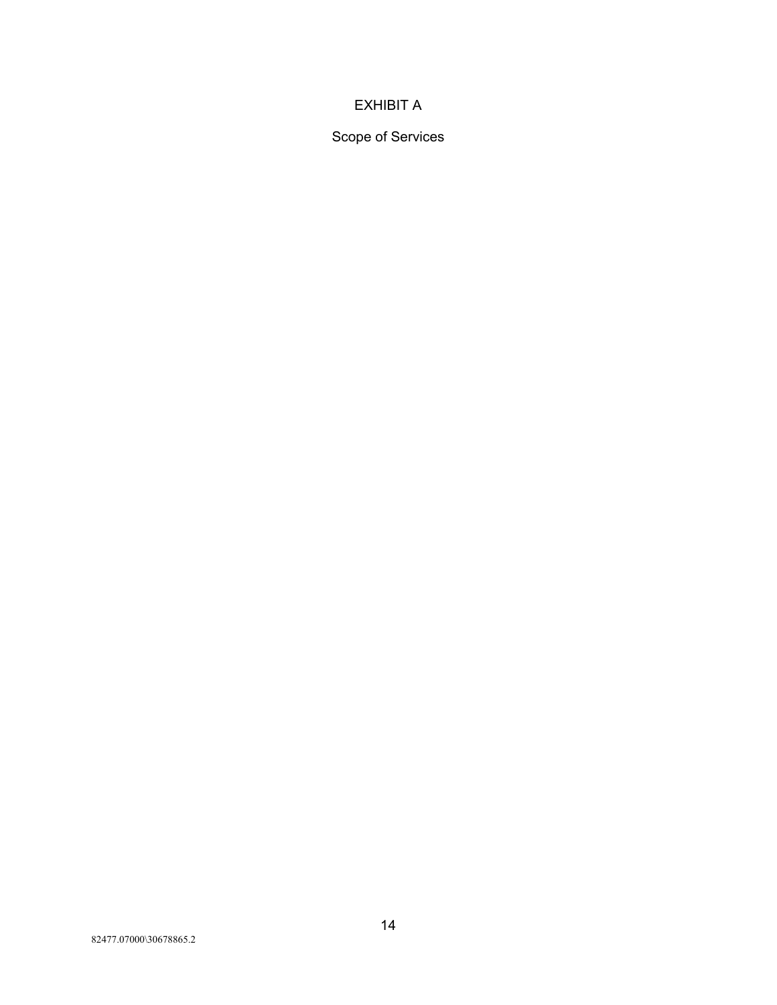# EXHIBIT A

Scope of Services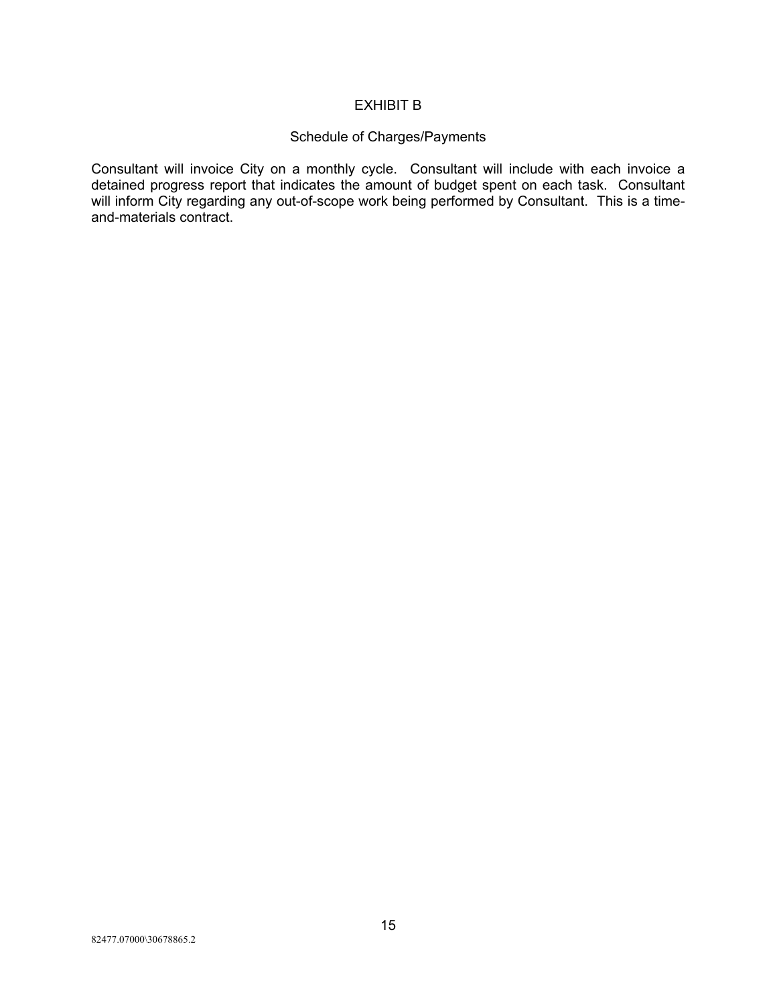# EXHIBIT B

# Schedule of Charges/Payments

Consultant will invoice City on a monthly cycle. Consultant will include with each invoice a detained progress report that indicates the amount of budget spent on each task. Consultant will inform City regarding any out-of-scope work being performed by Consultant. This is a timeand-materials contract.